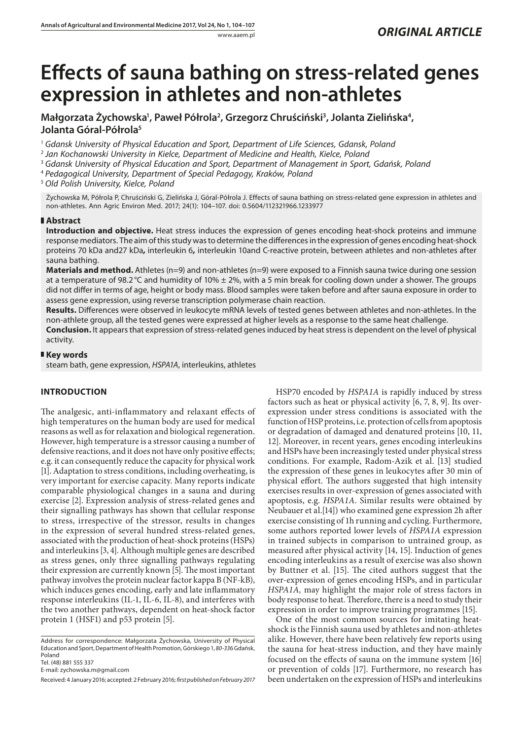# **Effects of sauna bathing on stress-related genes expression in athletes and non-athletes**

Małgorzata Żychowska<sup>1</sup>, Paweł Półrola<sup>2</sup>, Grzegorz Chruściński<sup>3</sup>, Jolanta Zielińska<sup>4</sup>, **Jolanta Góral-Półrola5**

<sup>1</sup> *Gdansk University of Physical Education and Sport, Department of Life Sciences, Gdansk, Poland*

<sup>2</sup> *Jan Kochanowski University in Kielce, Department of Medicine and Health, Kielce, Poland*

<sup>3</sup> *Gdansk University of Physical Education and Sport, Department of Management in Sport, Gdańsk, Poland*

<sup>4</sup> *Pedagogical University, Department of Special Pedagogy, Kraków, Poland*

<sup>5</sup> *Old Polish University, Kielce, Poland*

Żychowska M, Półrola P, Chruściński G, Zielińska J, Góral-Półrola J. Effects of sauna bathing on stress-related gene expression in athletes and non-athletes. Ann Agric Environ Med. 2017; 24(1): 104–107. doi: 0.5604/112321966.1233977

# **Abstract**

**Introduction and objective.** Heat stress induces the expression of genes encoding heat-shock proteins and immune response mediators. The aim of this study was to determine the differences in the expression of genes encoding heat-shock proteins 70 kDa and27 kDa*,* interleukin 6*,* interleukin 10and C-reactive protein, between athletes and non-athletes after sauna bathing.

**Materials and method.** Athletes (n=9) and non-athletes (n=9) were exposed to a Finnish sauna twice during one session at a temperature of 98.2°C and humidity of 10% ± 2%, with a 5 min break for cooling down under a shower. The groups did not differ in terms of age, height or body mass. Blood samples were taken before and after sauna exposure in order to assess gene expression, using reverse transcription polymerase chain reaction.

**Results.** Differences were observed in leukocyte mRNA levels of tested genes between athletes and non-athletes. In the non-athlete group, all the tested genes were expressed at higher levels as a response to the same heat challenge.

**Conclusion.** It appears that expression of stress-related genes induced by heat stress is dependent on the level of physical activity.

# **Key words**

steam bath, gene expression, *HSPA1A*, interleukins, athletes

# **INTRODUCTION**

The analgesic, anti-inflammatory and relaxant effects of high temperatures on the human body are used for medical reasons as well as for relaxation and biological regeneration. However, high temperature is a stressor causing a number of defensive reactions, and it does not have only positive effects; e.g. it can consequently reduce the capacity for physical work [1]. Adaptation to stress conditions, including overheating, is very important for exercise capacity. Many reports indicate comparable physiological changes in a sauna and during exercise [2]. Expression analysis of stress-related genes and their signalling pathways has shown that cellular response to stress, irrespective of the stressor, results in changes in the expression of several hundred stress-related genes, associated with the production of heat-shock proteins (HSPs) and interleukins [3, 4]. Although multiple genes are described as stress genes, only three signalling pathways regulating their expression are currently known [5]. The most important pathway involves the protein nuclear factor kappa B (NF-kB), which induces genes encoding, early and late inflammatory response interleukins (IL-1, IL-6, IL-8), and interferes with the two another pathways, dependent on heat-shock factor protein 1 (HSF1) and p53 protein [5].

Address for correspondence: Małgorzata Żychowska, University of Physical Education and Sport, Department of Health Promotion, Górskiego 1, *80-33*6 Gdańsk, Poland

Tel. (48) 881 555 337

E-mail: [zychowska.m@gmail.com](mailto:zychowska.m@gmail.com)

HSP70 encoded by *HSPA1A* is rapidly induced by stress factors such as heat or physical activity [6, 7, 8, 9]. Its overexpression under stress conditions is associated with the function of HSP proteins, i.e. protection of cells from apoptosis or degradation of damaged and denatured proteins [10, 11, 12]. Moreover, in recent years, genes encoding interleukins and HSPs have been increasingly tested under physical stress conditions. For example, Radom-Azik et al. [13] studied the expression of these genes in leukocytes after 30 min of physical effort. The authors suggested that high intensity exercises results in over-expression of genes associated with apoptosis, e.g. *HSPA1A*. Similar results were obtained by Neubauer et al.[14]) who examined gene expression 2h after exercise consisting of 1h running and cycling. Furthermore, some authors reported lower levels of *HSPA1A* expression in trained subjects in comparison to untrained group, as measured after physical activity [14, 15]. Induction of genes encoding interleukins as a result of exercise was also shown by Buttner et al. [15]. The cited authors suggest that the over-expression of genes encoding HSPs, and in particular *HSPA1A,* may highlight the major role of stress factors in body response to heat. Therefore, there is a need to study their expression in order to improve training programmes [15].

One of the most common sources for imitating heatshock is the Finnish sauna used by athletes and non-athletes alike. However, there have been relatively few reports using the sauna for heat-stress induction, and they have mainly focused on the effects of sauna on the immune system [16] or prevention of colds [17]. Furthermore, no research has been undertaken on the expression of HSPs and interleukins

Received: 4 January 2016; accepted: 2 February 2016; *first published on February 2017*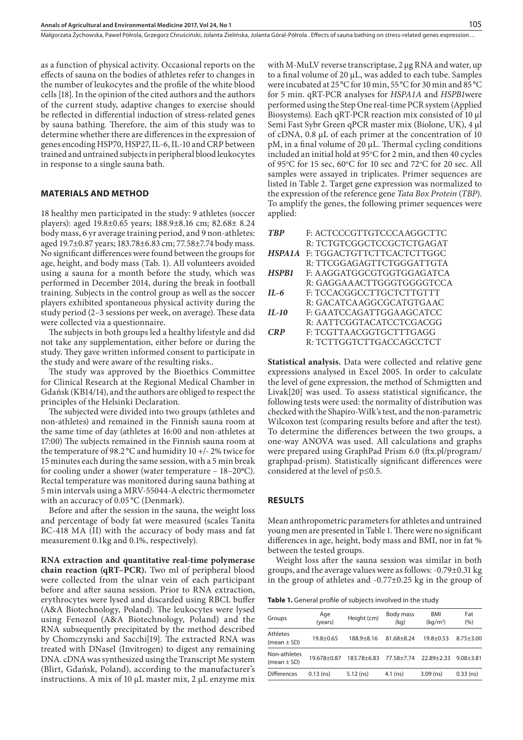Małgorzata Żychowska, Paweł Półrola, Grzegorz Chruściński, Jolanta Zielińska, Jolanta Góral-Półrola . Effects of sauna bathing on stress-related genes expression…

as a function of physical activity. Occasional reports on the effects of sauna on the bodies of athletes refer to changes in the number of leukocytes and the profile of the white blood cells [18]. In the opinion of the cited authors and the authors of the current study, adaptive changes to exercise should be reflected in differential induction of stress-related genes by sauna bathing. Therefore, the aim of this study was to determine whether there are differences in the expression of genes encoding HSP70, HSP27, IL-6, IL-10 and CRP between trained and untrained subjects in peripheral blood leukocytes in response to a single sauna bath.

#### **MATERIALS AND METHOD**

18 healthy men participated in the study: 9 athletes (soccer players): aged 19.8±0.65 years; 188.9±8.16 cm; 82.68± 8.24 body mass, 6 yr average training period, and 9 non-athletes: aged 19.7±0.87 years; 183.78±6.83 cm; 77.58±7.74 body mass. No significant differences were found between the groups for age, height, and body mass (Tab. 1). All volunteers avoided using a sauna for a month before the study, which was performed in December 2014, during the break in football training. Subjects in the control group as well as the soccer players exhibited spontaneous physical activity during the study period (2–3 sessions per week, on average). These data were collected via a questionnaire.

The subjects in both groups led a healthy lifestyle and did not take any supplementation, either before or during the study. They gave written informed consent to participate in the study and were aware of the resulting risks..

The study was approved by the Bioethics Committee for Clinical Research at the Regional Medical Chamber in Gdańsk (KB14/14), and the authors are obliged to respect the principles of the Helsinki Declaration.

The subjected were divided into two groups (athletes and non-athletes) and remained in the Finnish sauna room at the same time of day (athletes at 16:00 and non-athletes at 17:00) The subjects remained in the Finnish sauna room at the temperature of 98.2 °C and humidity 10 +/- 2% twice for 15 minutes each during the same session, with a 5 min break for cooling under a shower (water temperature – 18–20**<sup>o</sup>** C). Rectal temperature was monitored during sauna bathing at 5 min intervals using a MRV-55044-A electric thermometer with an accuracy of 0.05 °C (Denmark).

Before and after the session in the sauna, the weight loss and percentage of body fat were measured (scales Tanita BC-418 MA (II) with the accuracy of body mass and fat measurement 0.1kg and 0.1%, respectively).

**RNA extraction and quantitative real-time polymerase chain reaction (qRT–PCR).** Two ml of peripheral blood were collected from the ulnar vein of each participant before and after sauna session. Prior to RNA extraction, erythrocytes were lysed and discarded using RBCL buffer (A&A Biotechnology, Poland). The leukocytes were lysed using Fenozol (A&A Biotechnology, Poland) and the RNA subsequently precipitated by the method described by Chomczynski and Sacchi[19]. The extracted RNA was treated with DNaseI (Invitrogen) to digest any remaining DNA. cDNA was synthesized using the Transcript Me system (Blirt, Gdańsk, Poland), according to the manufacturer's instructions. A mix of 10  $\mu$ L master mix, 2  $\mu$ L enzyme mix

with M-MuLV reverse transcriptase, 2 μg RNA and water, up to a final volume of 20 µL, was added to each tube. Samples were incubated at 25 °C for 10 min, 55°C for 30 min and 85 °C for 5 min. qRT-PCR analyses for *HSPA1A* and *HSPB1*were performed using the Step One real-time PCR system (Applied Biosystems). Each qRT-PCR reaction mix consisted of 10 µl Semi Fast Sybr Green qPCR master mix (Biolone, UK), 4 µl of cDNA, 0.8 µL of each primer at the concentration of 10  $pM$ , in a final volume of 20  $\mu$ L. Thermal cycling conditions included an initial hold at  $95^{\circ}$ C for 2 min, and then 40 cycles of 95 $\degree$ C for 15 sec, 60 $\degree$ C for 10 sec and 72 $\degree$ C for 20 sec. All samples were assayed in triplicates. Primer sequences are listed in Table 2. Target gene expression was normalized to the expression of the reference gene *Tata Box Protein* (*TBP*). To amplify the genes, the following primer sequences were applied:

| <b>TRP</b>   | F: ACTCCCGTTGTCCCAAGGCTTC               |
|--------------|-----------------------------------------|
|              | R: TCTGTCGGCTCCGCTCTGAGAT               |
|              | <b>HSPAIA F: TGGACTGTTCTTCACTCTTGGC</b> |
|              | R: TTCGGAGAGTTCTGGGATTGTA               |
| <b>HSPB1</b> | F: AAGGATGGCGTGGTGGAGATCA               |
|              | R: GAGGAAACTTGGGTGGGGTCCA               |
| $IL-6$       | F: TCCACGGCCTTGCTCTTGTTT                |
|              | R: GACATCAAGGCGCATGTGAAC                |
| $II-10$      | F: GAATCCAGATTGGAAGCATCC                |
|              | R: AATTCGGTACATCCTCGACGG                |
| CRP          | F: TCGTTAACGGTGCTTTGAGG                 |
|              | R: TCTTGGTCTTGACCAGCCTCT                |

**Statistical analysis.** Data were collected and relative gene expressions analysed in Excel 2005. In order to calculate the level of gene expression, the method of Schmigtten and Livak[20] was used. To assess statistical significance, the following tests were used: the normality of distribution was checked with the Shapiro-Wilk's test, and the non-parametric Wilcoxon test (comparing results before and after the test). To determine the differences between the two groups, a one-way ANOVA was used. All calculations and graphs were prepared using GraphPad Prism 6.0 (ftx.pl/program/ graphpad-prism). Statistically significant differences were considered at the level of p≤0.5.

#### **RESULTS**

Mean anthropometric parameters for athletes and untrained young men are presented in Table 1. There were no significant differences in age, height, body mass and BMI, nor in fat % between the tested groups.

Weight loss after the sauna session was similar in both groups, and the average values were as follows: -0.79±0.31 kg in the group of athletes and -0.77±0.25 kg in the group of

**Table 1.** General profile of subjects involved in the study

| Groups                             | Age<br>(years) | Height (cm)    | Body mass<br>(kq) | <b>BMI</b><br>(kq/m <sup>2</sup> ) | Fat<br>(9/6)  |
|------------------------------------|----------------|----------------|-------------------|------------------------------------|---------------|
| <b>Athletes</b><br>(mean $\pm$ SD) | $19.8 + 0.65$  | $188.9 + 8.16$ | $81.68 + 8.24$    | $19.8 + 0.53$                      | $8.75 + 3.00$ |
| Non-athletes<br>(mean $\pm$ SD)    | 19.678+0.87    | 183.78+6.83    | 77.58+7.74        | $22.89 + 2.33$                     | $9.08 + 3.81$ |
| <b>Differences</b>                 | $0.13$ (ns)    | $5.12$ (ns)    | $4.1$ (ns)        | $3.09$ (ns)                        | $0.33$ (ns)   |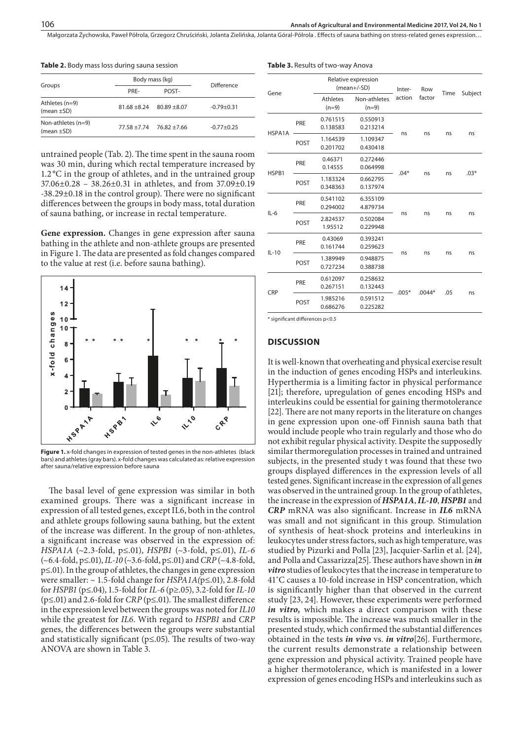Małgorzata Żychowska, Paweł Półrola, Grzegorz Chruściński, Jolanta Zielińska, Jolanta Góral-Półrola . Effects of sauna bathing on stress-related genes expression…

**Table 3.** Results of two-way Anova

|                                         | Body mass (kg) | Difference                    |                |
|-----------------------------------------|----------------|-------------------------------|----------------|
| Groups                                  | PRF-           | POST-                         |                |
| Athletes (n=9)<br>(mean $\pm$ SD)       | $8168 + 824$   | $80.89 + 8.07$                | $-0.79 + 0.31$ |
| Non-athletes $(n=9)$<br>(mean $\pm$ SD) |                | $77.58 + 7.74$ $76.82 + 7.66$ | $-0.77 + 0.25$ |

**Table 2.** Body mass loss during sauna session

untrained people (Tab. 2). The time spent in the sauna room was 30 min, during which rectal temperature increased by 1.2 °C in the group of athletes, and in the untrained group 37.06±0.28 – 38.26±0.31 in athletes, and from 37.09±0.19 -38.29±0.18 in the control group). There were no significant differences between the groups in body mass, total duration of sauna bathing, or increase in rectal temperature.

**Gene expression.** Changes in gene expression after sauna bathing in the athlete and non-athlete groups are presented in Figure 1. The data are presented as fold changes compared to the value at rest (i.e. before sauna bathing).



**Figure 1.** x-fold changes in expression of tested genes in the non-athletes (black bars) and athletes (gray bars). x-fold changes was calculated as: relative expression after sauna/relative expression before sauna

The basal level of gene expression was similar in both examined groups. There was a significant increase in expression of all tested genes, except IL6, both in the control and athlete groups following sauna bathing, but the extent of the increase was different. In the group of non-athletes, a significant increase was observed in the expression of: *HSPA1A* (~2.3-fold, p≤.01), *HSPB1* (~3-fold, p≤.01), *IL-6* (~6.4-fold, p≤.01), *IL-10* (~3.6-fold, p≤.01) and *CRP* (~4.8-fold, p≤.01). In the group of athletes, the changes in gene expression were smaller: ~ 1.5-fold change for *HSPA1A(*p≤.01), 2.8-fold for *HSPB1* (p≤.04), 1.5-fold for *IL-6* (p≥.05), 3.2-fold for *IL-10* (p≤.01) and 2.6-fold for *CRP* (p≤.01). The smallest difference in the expression level between the groups was noted for *IL10* while the greatest for *IL6*. With regard to *HSPB1* and *CRP* genes, the differences between the groups were substantial and statistically significant (p≤.05). The results of two-way ANOVA are shown in Table 3.

|            |             | Relative expression<br>$(mean+/SD)$ |                         | Inter-  | Row      |      |         |
|------------|-------------|-------------------------------------|-------------------------|---------|----------|------|---------|
| Gene       |             | <b>Athletes</b><br>$(n=9)$          | Non-athletes<br>$(n=9)$ | action  | factor   | Time | Subject |
| HSPA1A     | PRE         | 0.761515<br>0.138583                | 0.550913<br>0.213214    | ns      | ns       | ns   | ns      |
|            | POST        | 1.164539<br>0.201702                | 1.109347<br>0.430418    |         |          |      |         |
| HSPB1      | PRE         | 0.46371<br>0.14555                  | 0.272446<br>0.064998    | $.04*$  | ns       | ns   | $.03*$  |
|            | POST        | 1.183324<br>0.348363                | 0.662795<br>0.137974    |         |          |      |         |
| $IL-6$     | PRE         | 0.541102<br>0.294002                | 6.355109<br>4.879734    | ns      | ns       | ns   | ns      |
|            | POST        | 2.824537<br>1.95512                 | 0.502084<br>0.229948    |         |          |      |         |
| $IL-10$    | PRE         | 0.43069<br>0.161744                 | 0.393241<br>0.259623    | ns      | ns       | ns   | ns      |
|            | POST        | 1.389949<br>0.727234                | 0.948875<br>0.388738    |         |          |      |         |
| <b>CRP</b> | PRE         | 0.612097<br>0.267151                | 0.258632<br>0.132443    | $.005*$ | $.0044*$ | .05  | ns      |
|            | <b>POST</b> | 1.985216<br>0.686276                | 0.591512<br>0.225282    |         |          |      |         |

\* significant differences p<0.5

#### **DISCUSSION**

It is well-known that overheating and physical exercise result in the induction of genes encoding HSPs and interleukins. Hyperthermia is a limiting factor in physical performance [21]; therefore, upregulation of genes encoding HSPs and interleukins could be essential for gaining thermotolerance [22]. There are not many reports in the literature on changes in gene expression upon one-off Finnish sauna bath that would include people who train regularly and those who do not exhibit regular physical activity. Despite the supposedly similar thermoregulation processes in trained and untrained subjects, in the presented study t was found that these two groups displayed differences in the expression levels of all tested genes. Significant increase in the expression of all genes was observed in the untrained group. In the group of athletes, the increase in the expression of *HSPA1A*, *IL-10*, *HSPB1* and *CRP* mRNA was also significant. Increase in *IL6* mRNA was small and not significant in this group. Stimulation of synthesis of heat-shock proteins and interleukins in leukocytes under stress factors, such as high temperature, was studied by Pizurki and Polla [23], Jacquier-Sarlin et al. [24], and Polla and Cassarizza[25]. These authors have shown in *in vitro* studies of leukocytes that the increase in temperature to 41˚C causes a 10-fold increase in HSP concentration, which is significantly higher than that observed in the current study [23, 24]. However, these experiments were performed *in vitro,* which makes a direct comparison with these results is impossible. The increase was much smaller in the presented study, which confirmed the substantial differences obtained in the tests *in vivo* vs. *in vitro*[26]. Furthermore, the current results demonstrate a relationship between gene expression and physical activity. Trained people have a higher thermotolerance, which is manifested in a lower expression of genes encoding HSPs and interleukins such as